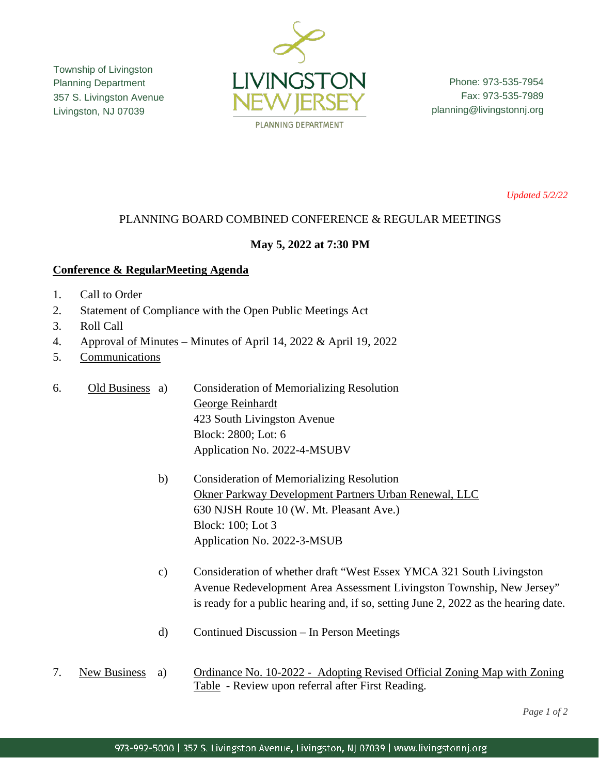Township of Livingston Planning Department 357 S. Livingston Avenue Livingston, NJ 07039



Phone: 973-535-7954 Fax: 973-535-7989 planning@livingstonnj.org

*Updated 5/2/22*

# PLANNING BOARD COMBINED CONFERENCE & REGULAR MEETINGS

# **May 5, 2022 at 7:30 PM**

#### **Conference & RegularMeeting Agenda**

- 1. Call to Order
- 2. Statement of Compliance with the Open Public Meetings Act
- 3. Roll Call
- 4. Approval of Minutes Minutes of April 14, 2022 & April 19, 2022
- 5. Communications
- 6. Old Business a) Consideration of Memorializing Resolution George Reinhardt 423 South Livingston Avenue Block: 2800; Lot: 6 Application No. 2022-4-MSUBV
	- b) Consideration of Memorializing Resolution Okner Parkway Development Partners Urban Renewal, LLC 630 NJSH Route 10 (W. Mt. Pleasant Ave.) Block: 100; Lot 3 Application No. 2022-3-MSUB
	- c) Consideration of whether draft "West Essex YMCA 321 South Livingston Avenue Redevelopment Area Assessment Livingston Township, New Jersey" is ready for a public hearing and, if so, setting June 2, 2022 as the hearing date.
	- d) Continued Discussion In Person Meetings
- 7. New Business a) Ordinance No. 10-2022 Adopting Revised Official Zoning Map with Zoning Table - Review upon referral after First Reading.

*Page 1 of 2*